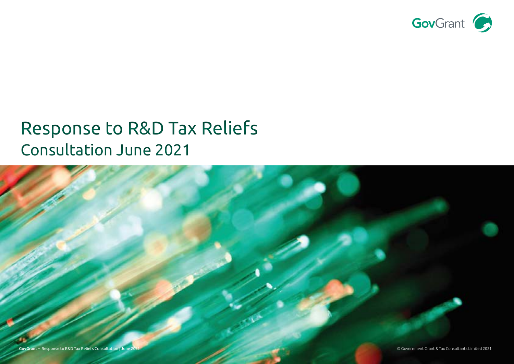

# Response to R&D Tax Reliefs Consultation June 2021

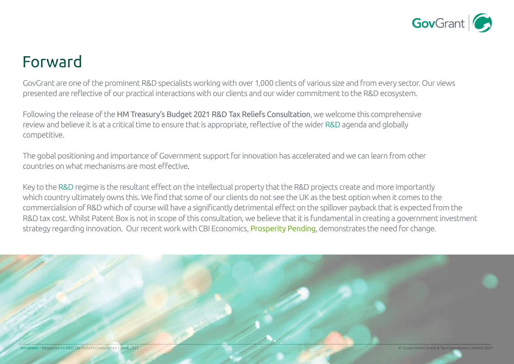

## Forward

GovGrant are one of the prominent R&D specialists working with over 1,000 clients of various size and from every sector. Our views presented are reflective of our practical interactions with our clients and our wider commitment to the R&D ecosystem.

Following the release of the HM Treasury's Budget 2021 R&D Tax Reliefs Consultation, we welcome this comprehensive review and believe it is at a critical time to ensure that is appropriate, reflective of the wider R&D agenda and globally competitive.

The gobal positioning and importance of Government support for innovation has accelerated and we can learn from other countries on what mechanisms are most effective.

Key to the R&D regime is the resultant effect on the intellectual property that the R&D projects create and more importantly which country ultimately owns this. We find that some of our clients do not see the UK as the best option when it comes to the commercialision of R&D which of course will have a significantly detrimental effect on the spillover payback that is expected from the R&D tax cost. Whilst Patent Box is not in scope of this consultation, we believe that it is fundamental in creating a government investment strategy regarding innovation. Our recent work with CBI Economics, [Prosperity Pending](https://www.govgrant.co.uk/prosperity-pending-cbi-economics/), demonstrates the need for change.

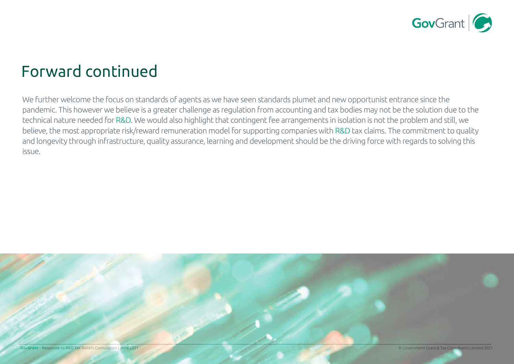

## Forward continued

We further welcome the focus on standards of agents as we have seen standards plumet and new opportunist entrance since the pandemic. This however we believe is a greater challenge as regulation from accounting and tax bodies may not be the solution due to the technical nature needed for R&D. We would also highlight that contingent fee arrangements in isolation is not the problem and still, we believe, the most appropriate risk/reward remuneration model for supporting companies with R&D tax claims. The commitment to quality and longevity through infrastructure, quality assurance, learning and development should be the driving force with regards to solving this issue.

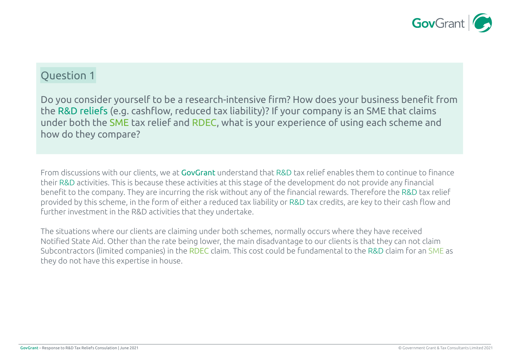

Do you consider yourself to be a research-intensive firm? How does your business benefit from the R&D reliefs (e.g. cashflow, reduced tax liability)? If your company is an SME that claims under both the SME tax relief and RDEC, what is your experience of using each scheme and how do they compare?

From discussions with our clients, we at GovGrant understand that R&D tax relief enables them to continue to finance their R&D activities. This is because these activities at this stage of the development do not provide any financial benefit to the company. They are incurring the risk without any of the financial rewards. Therefore the R&D tax relief provided by this scheme, in the form of either a reduced tax liability or R&D tax credits, are key to their cash flow and further investment in the R&D activities that they undertake.

The situations where our clients are claiming under both schemes, normally occurs where they have received Notified State Aid. Other than the rate being lower, the main disadvantage to our clients is that they can not claim Subcontractors (limited companies) in the RDEC claim. This cost could be fundamental to the R&D claim for an SME as they do not have this expertise in house.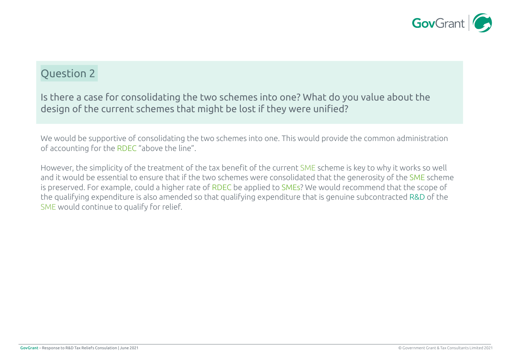

Is there a case for consolidating the two schemes into one? What do you value about the design of the current schemes that might be lost if they were unified?

We would be supportive of consolidating the two schemes into one. This would provide the common administration of accounting for the RDEC "above the line".

However, the simplicity of the treatment of the tax benefit of the current SME scheme is key to why it works so well and it would be essential to ensure that if the two schemes were consolidated that the generosity of the SME scheme is preserved. For example, could a higher rate of RDEC be applied to SMEs? We would recommend that the scope of the qualifying expenditure is also amended so that qualifying expenditure that is genuine subcontracted R&D of the SME would continue to qualify for relief.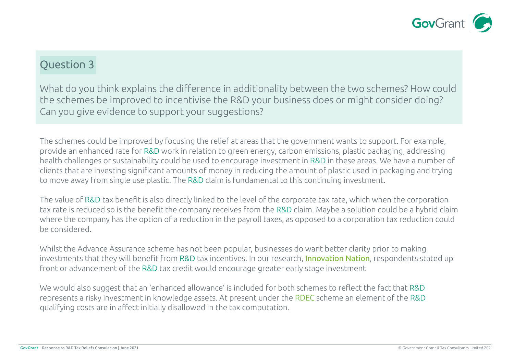

What do you think explains the difference in additionality between the two schemes? How could the schemes be improved to incentivise the R&D your business does or might consider doing? Can you give evidence to support your suggestions?

The schemes could be improved by focusing the relief at areas that the government wants to support. For example, provide an enhanced rate for R&D work in relation to green energy, carbon emissions, plastic packaging, addressing health challenges or sustainability could be used to encourage investment in R&D in these areas. We have a number of clients that are investing significant amounts of money in reducing the amount of plastic used in packaging and trying to move away from single use plastic. The R&D claim is fundamental to this continuing investment.

The value of R&D tax benefit is also directly linked to the level of the corporate tax rate, which when the corporation tax rate is reduced so is the benefit the company receives from the R&D claim. Maybe a solution could be a hybrid claim where the company has the option of a reduction in the payroll taxes, as opposed to a corporation tax reduction could be considered.

Whilst the Advance Assurance scheme has not been popular, businesses do want better clarity prior to making investments that they will benefit from R&D tax incentives. In our research, [Innovation Nation](https://www.govgrant.co.uk/innovation-nation-survey/), respondents stated up front or advancement of the R&D tax credit would encourage greater early stage investment

We would also suggest that an 'enhanced allowance' is included for both schemes to reflect the fact that R&D represents a risky investment in knowledge assets. At present under the RDEC scheme an element of the R&D qualifying costs are in affect initially disallowed in the tax computation.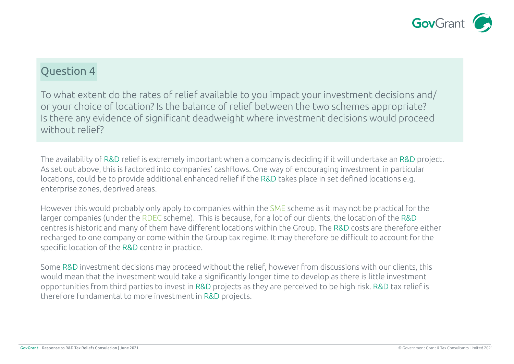

To what extent do the rates of relief available to you impact your investment decisions and/ or your choice of location? Is the balance of relief between the two schemes appropriate? Is there any evidence of significant deadweight where investment decisions would proceed without relief?

The availability of R&D relief is extremely important when a company is deciding if it will undertake an R&D project. As set out above, this is factored into companies' cashflows. One way of encouraging investment in particular locations, could be to provide additional enhanced relief if the R&D takes place in set defined locations e.g. enterprise zones, deprived areas.

However this would probably only apply to companies within the SME scheme as it may not be practical for the larger companies (under the RDEC scheme). This is because, for a lot of our clients, the location of the R&D centres is historic and many of them have different locations within the Group. The R&D costs are therefore either recharged to one company or come within the Group tax regime. It may therefore be difficult to account for the specific location of the R&D centre in practice.

Some R&D investment decisions may proceed without the relief, however from discussions with our clients, this would mean that the investment would take a significantly longer time to develop as there is little investment opportunities from third parties to invest in R&D projects as they are perceived to be high risk. R&D tax relief is therefore fundamental to more investment in R&D projects.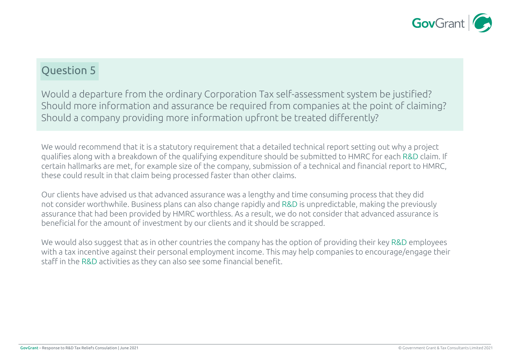

Would a departure from the ordinary Corporation Tax self-assessment system be justified? Should more information and assurance be required from companies at the point of claiming? Should a company providing more information upfront be treated differently?

We would recommend that it is a statutory requirement that a detailed technical report setting out why a project qualifies along with a breakdown of the qualifying expenditure should be submitted to HMRC for each R&D claim. If certain hallmarks are met, for example size of the company, submission of a technical and financial report to HMRC, these could result in that claim being processed faster than other claims.

Our clients have advised us that advanced assurance was a lengthy and time consuming process that they did not consider worthwhile. Business plans can also change rapidly and R&D is unpredictable, making the previously assurance that had been provided by HMRC worthless. As a result, we do not consider that advanced assurance is beneficial for the amount of investment by our clients and it should be scrapped.

We would also suggest that as in other countries the company has the option of providing their key R&D employees with a tax incentive against their personal employment income. This may help companies to encourage/engage their staff in the R&D activities as they can also see some financial benefit.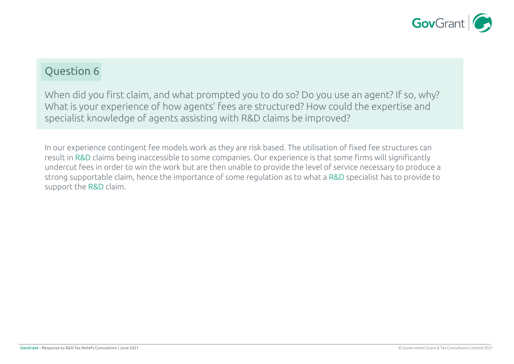

When did you first claim, and what prompted you to do so? Do you use an agent? If so, why? What is your experience of how agents' fees are structured? How could the expertise and specialist knowledge of agents assisting with R&D claims be improved?

In our experience contingent fee models work as they are risk based. The utilisation of fixed fee structures can result in R&D claims being inaccessible to some companies. Our experience is that some firms will significantly undercut fees in order to win the work but are then unable to provide the level of service necessary to produce a strong supportable claim, hence the importance of some regulation as to what a R&D specialist has to provide to support the R&D claim.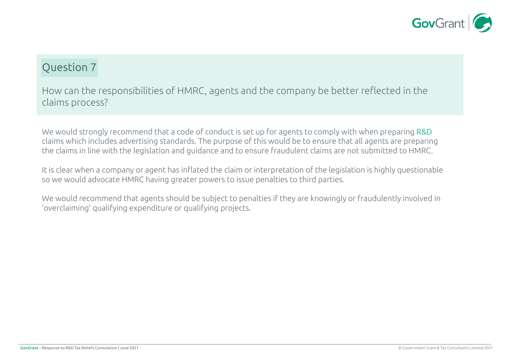

How can the responsibilities of HMRC, agents and the company be better reflected in the claims process?

We would strongly recommend that a code of conduct is set up for agents to comply with when preparing R&D claims which includes advertising standards. The purpose of this would be to ensure that all agents are preparing the claims in line with the legislation and guidance and to ensure fraudulent claims are not submitted to HMRC.

It is clear when a company or agent has inflated the claim or interpretation of the legislation is highly questionable so we would advocate HMRC having greater powers to issue penalties to third parties.

We would recommend that agents should be subject to penalties if they are knowingly or fraudulently involved in 'overclaiming' qualifying expenditure or qualifying projects.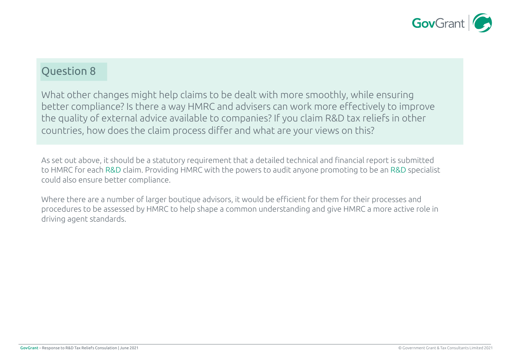

What other changes might help claims to be dealt with more smoothly, while ensuring better compliance? Is there a way HMRC and advisers can work more effectively to improve the quality of external advice available to companies? If you claim R&D tax reliefs in other countries, how does the claim process differ and what are your views on this?

As set out above, it should be a statutory requirement that a detailed technical and financial report is submitted to HMRC for each R&D claim. Providing HMRC with the powers to audit anyone promoting to be an R&D specialist could also ensure better compliance.

Where there are a number of larger boutique advisors, it would be efficient for them for their processes and procedures to be assessed by HMRC to help shape a common understanding and give HMRC a more active role in driving agent standards.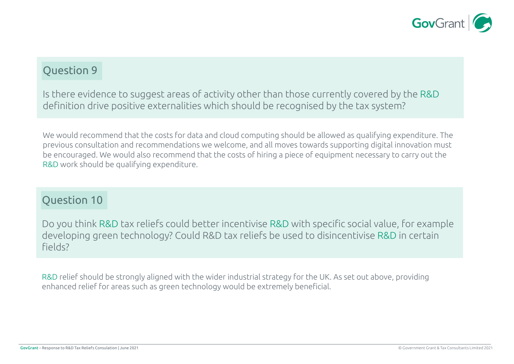

Is there evidence to suggest areas of activity other than those currently covered by the R&D definition drive positive externalities which should be recognised by the tax system?

We would recommend that the costs for data and cloud computing should be allowed as qualifying expenditure. The previous consultation and recommendations we welcome, and all moves towards supporting digital innovation must be encouraged. We would also recommend that the costs of hiring a piece of equipment necessary to carry out the R&D work should be qualifying expenditure.

#### Question 10

Do you think R&D tax reliefs could better incentivise R&D with specific social value, for example developing green technology? Could R&D tax reliefs be used to disincentivise R&D in certain fields?

R&D relief should be strongly aligned with the wider industrial strategy for the UK. As set out above, providing enhanced relief for areas such as green technology would be extremely beneficial.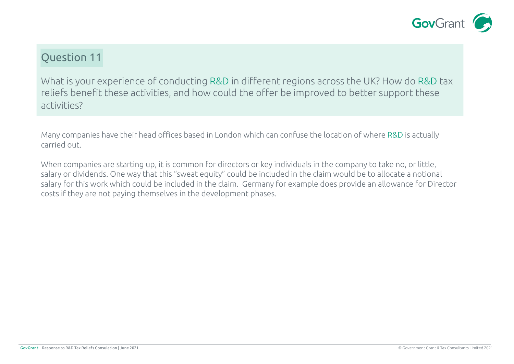

What is your experience of conducting R&D in different regions across the UK? How do R&D tax reliefs benefit these activities, and how could the offer be improved to better support these activities?

Many companies have their head offices based in London which can confuse the location of where R&D is actually carried out.

When companies are starting up, it is common for directors or key individuals in the company to take no, or little, salary or dividends. One way that this "sweat equity" could be included in the claim would be to allocate a notional salary for this work which could be included in the claim. Germany for example does provide an allowance for Director costs if they are not paying themselves in the development phases.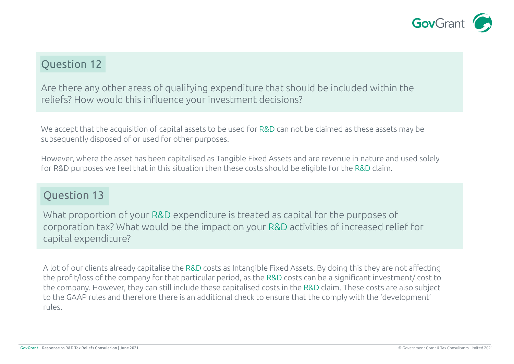

Are there any other areas of qualifying expenditure that should be included within the reliefs? How would this influence your investment decisions?

We accept that the acquisition of capital assets to be used for R&D can not be claimed as these assets may be subsequently disposed of or used for other purposes.

However, where the asset has been capitalised as Tangible Fixed Assets and are revenue in nature and used solely for R&D purposes we feel that in this situation then these costs should be eligible for the R&D claim.

#### Question 13

What proportion of your R&D expenditure is treated as capital for the purposes of corporation tax? What would be the impact on your R&D activities of increased relief for capital expenditure?

A lot of our clients already capitalise the R&D costs as Intangible Fixed Assets. By doing this they are not affecting the profit/loss of the company for that particular period, as the R&D costs can be a significant investment/ cost to the company. However, they can still include these capitalised costs in the R&D claim. These costs are also subject to the GAAP rules and therefore there is an additional check to ensure that the comply with the 'development' rules.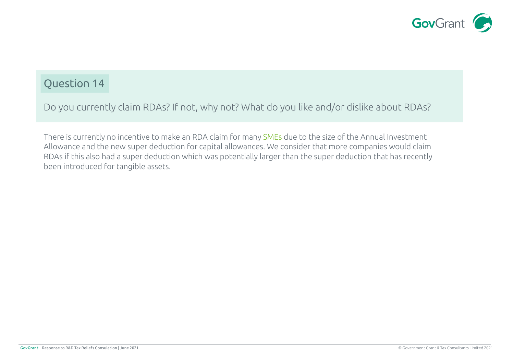

Do you currently claim RDAs? If not, why not? What do you like and/or dislike about RDAs?

There is currently no incentive to make an RDA claim for many SMEs due to the size of the Annual Investment Allowance and the new super deduction for capital allowances. We consider that more companies would claim RDAs if this also had a super deduction which was potentially larger than the super deduction that has recently been introduced for tangible assets.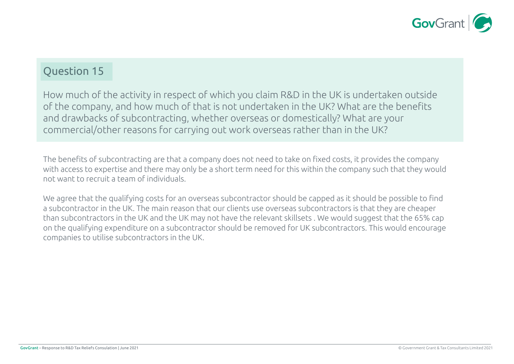

How much of the activity in respect of which you claim R&D in the UK is undertaken outside of the company, and how much of that is not undertaken in the UK? What are the benefits and drawbacks of subcontracting, whether overseas or domestically? What are your commercial/other reasons for carrying out work overseas rather than in the UK?

The benefits of subcontracting are that a company does not need to take on fixed costs, it provides the company with access to expertise and there may only be a short term need for this within the company such that they would not want to recruit a team of individuals.

We agree that the qualifying costs for an overseas subcontractor should be capped as it should be possible to find a subcontractor in the UK. The main reason that our clients use overseas subcontractors is that they are cheaper than subcontractors in the UK and the UK may not have the relevant skillsets . We would suggest that the 65% cap on the qualifying expenditure on a subcontractor should be removed for UK subcontractors. This would encourage companies to utilise subcontractors in the UK.